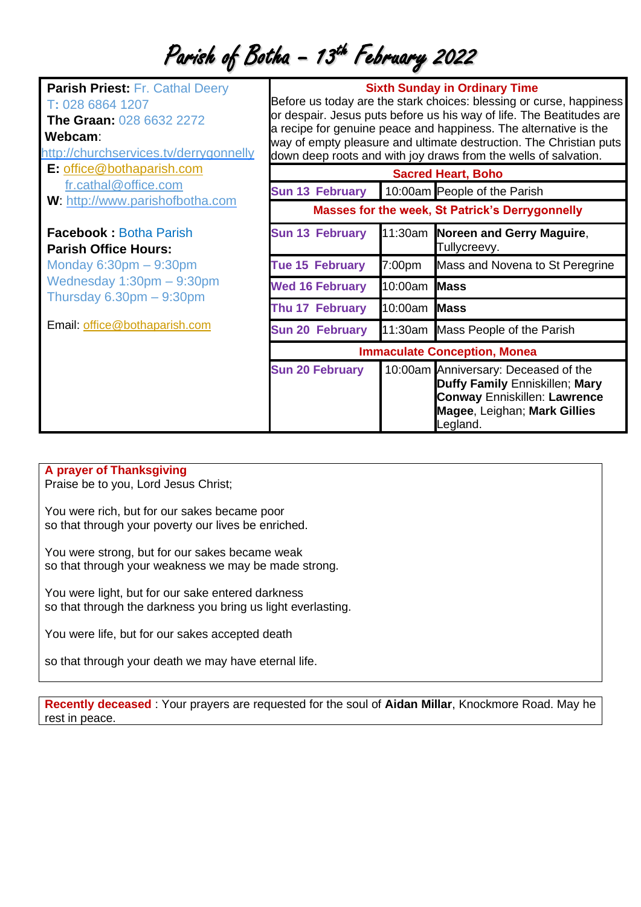## Parish of Botha - 13<sup>th</sup> February 2022

| <b>Parish Priest: Fr. Cathal Deery</b><br>T: 028 6864 1207<br>The Graan: 028 6632 2272<br>Webcam:<br>http://churchservices.tv/derrygonnelly<br>E: office@bothaparish.com | <b>Sixth Sunday in Ordinary Time</b><br>Before us today are the stark choices: blessing or curse, happiness<br>or despair. Jesus puts before us his way of life. The Beatitudes are<br>a recipe for genuine peace and happiness. The alternative is the<br>way of empty pleasure and ultimate destruction. The Christian puts<br>down deep roots and with joy draws from the wells of salvation.<br><b>Sacred Heart, Boho</b> |                              |                                                                                                                                                           |
|--------------------------------------------------------------------------------------------------------------------------------------------------------------------------|-------------------------------------------------------------------------------------------------------------------------------------------------------------------------------------------------------------------------------------------------------------------------------------------------------------------------------------------------------------------------------------------------------------------------------|------------------------------|-----------------------------------------------------------------------------------------------------------------------------------------------------------|
| fr.cathal@office.com<br>W: http://www.parishofbotha.com                                                                                                                  | <b>Sun 13 February</b>                                                                                                                                                                                                                                                                                                                                                                                                        | 10:00am People of the Parish |                                                                                                                                                           |
|                                                                                                                                                                          | <b>Masses for the week, St Patrick's Derrygonnelly</b>                                                                                                                                                                                                                                                                                                                                                                        |                              |                                                                                                                                                           |
| <b>Facebook: Botha Parish</b><br><b>Parish Office Hours:</b>                                                                                                             | <b>Sun 13 February</b>                                                                                                                                                                                                                                                                                                                                                                                                        |                              | 11:30am Noreen and Gerry Maguire,<br>Tullycreevy.                                                                                                         |
| Monday $6:30$ pm $-9:30$ pm                                                                                                                                              | <b>Tue 15 February</b>                                                                                                                                                                                                                                                                                                                                                                                                        | 7:00pm                       | Mass and Novena to St Peregrine                                                                                                                           |
| Wednesday $1:30$ pm $-9:30$ pm<br>Thursday $6.30 \text{pm} - 9:30 \text{pm}$                                                                                             | <b>Wed 16 February</b>                                                                                                                                                                                                                                                                                                                                                                                                        | 10:00am Mass                 |                                                                                                                                                           |
|                                                                                                                                                                          | Thu 17 February                                                                                                                                                                                                                                                                                                                                                                                                               | 10:00am Mass                 |                                                                                                                                                           |
| Email: office@bothaparish.com                                                                                                                                            | <b>Sun 20 February</b>                                                                                                                                                                                                                                                                                                                                                                                                        |                              | 11:30am Mass People of the Parish                                                                                                                         |
|                                                                                                                                                                          | <b>Immaculate Conception, Monea</b>                                                                                                                                                                                                                                                                                                                                                                                           |                              |                                                                                                                                                           |
|                                                                                                                                                                          | <b>Sun 20 February</b>                                                                                                                                                                                                                                                                                                                                                                                                        |                              | 10:00am Anniversary: Deceased of the<br>Duffy Family Enniskillen; Mary<br><b>Conway Enniskillen: Lawrence</b><br>Magee, Leighan; Mark Gillies<br>Legland. |

## **A prayer of Thanksgiving**

Praise be to you, Lord Jesus Christ;

You were rich, but for our sakes became poor so that through your poverty our lives be enriched.

You were strong, but for our sakes became weak so that through your weakness we may be made strong.

You were light, but for our sake entered darkness so that through the darkness you bring us light everlasting.

You were life, but for our sakes accepted death

so that through your death we may have eternal life.

**Recently deceased** : Your prayers are requested for the soul of **Aidan Millar**, Knockmore Road. May he rest in peace.